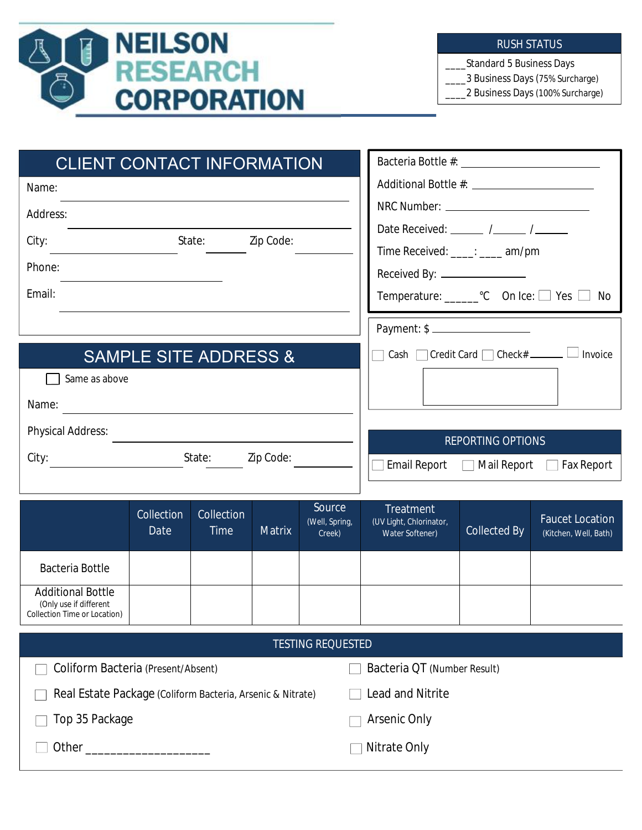

#### RUSH STATUS

\_\_\_\_Standard 5 Business Days

\_\_\_\_3 Business Days (75% Surcharge)

\_\_\_\_2 Business Days (100% Surcharge)

| <b>CLIENT CONTACT INFORMATION</b>        |                                                              |  |  |
|------------------------------------------|--------------------------------------------------------------|--|--|
| Name:                                    |                                                              |  |  |
| Address:<br>Zip Code:<br>State:<br>City: | Date Received: $\frac{1}{2}$ / $\frac{1}{2}$ / $\frac{1}{2}$ |  |  |
| Phone:                                   | Time Received: ____: ____ am/pm                              |  |  |
|                                          | Received By: _______________                                 |  |  |
| Email:                                   | Temperature: _________ °C On Ice: $\Box$ Yes $\Box$<br>No    |  |  |
|                                          | Payment: \$                                                  |  |  |
| <b>SAMPLE SITE ADDRESS &amp;</b>         | Cash Credit Card Check# ______<br>Invoice                    |  |  |
| Same as above<br>Name:                   |                                                              |  |  |
|                                          |                                                              |  |  |
| <b>Physical Address:</b>                 | <b>REPORTING OPTIONS</b>                                     |  |  |
| Zip Code:<br>City:<br>State:             | Email Report   Mail Report  <br><b>Fax Report</b>            |  |  |

|                                                                                    | Collection<br>Date | Collection<br><b>Time</b> | <b>Matrix</b> | Source<br>(Well, Spring,<br>Creek) | <b>Treatment</b><br>(UV Light, Chlorinator,<br><b>Water Softener)</b> | <b>Collected By</b> | <b>Faucet Location</b><br>(Kitchen, Well, Bath) |
|------------------------------------------------------------------------------------|--------------------|---------------------------|---------------|------------------------------------|-----------------------------------------------------------------------|---------------------|-------------------------------------------------|
| Bacteria Bottle                                                                    |                    |                           |               |                                    |                                                                       |                     |                                                 |
| <b>Additional Bottle</b><br>(Only use if different<br>Collection Time or Location) |                    |                           |               |                                    |                                                                       |                     |                                                 |

| TESTING REQUESTED                                          |                             |  |  |  |  |
|------------------------------------------------------------|-----------------------------|--|--|--|--|
| Coliform Bacteria (Present/Absent)                         | Bacteria QT (Number Result) |  |  |  |  |
| Real Estate Package (Coliform Bacteria, Arsenic & Nitrate) | <b>Lead and Nitrite</b>     |  |  |  |  |
| Top 35 Package                                             | <b>Arsenic Only</b>         |  |  |  |  |
|                                                            | Nitrate Only                |  |  |  |  |